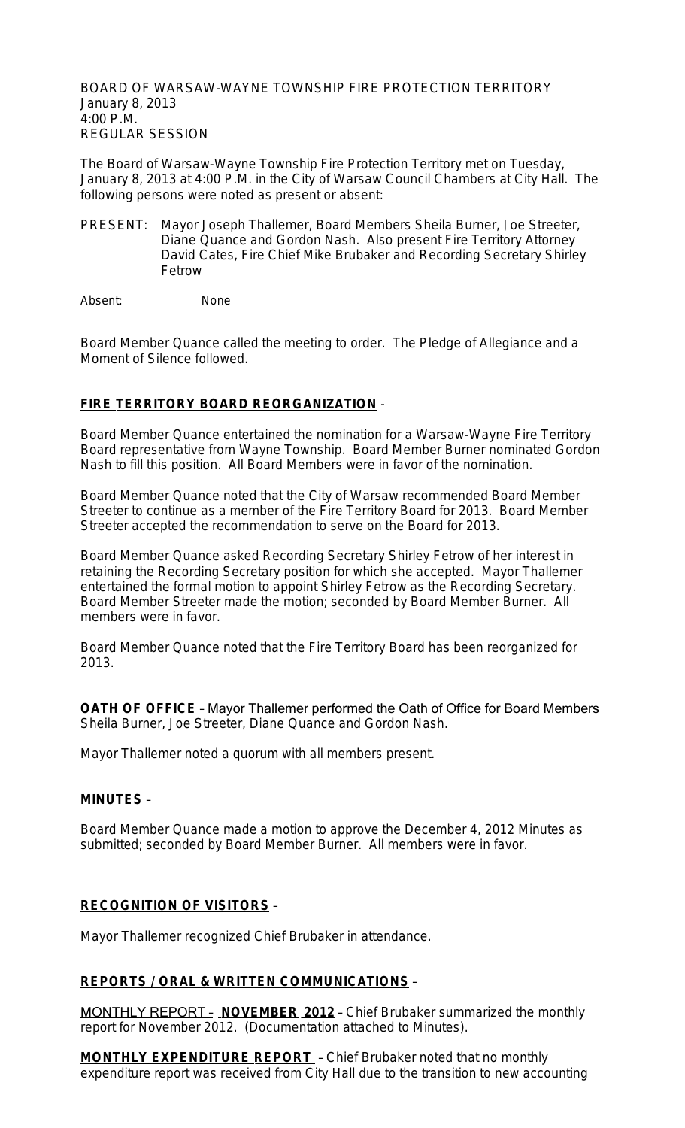BOARD OF WARSAW-WAYNE TOWNSHIP FIRE PROTECTION TERRITORY January 8, 2013 4:00 P.M. REGULAR SESSION

The Board of Warsaw-Wayne Township Fire Protection Territory met on Tuesday, January 8, 2013 at 4:00 P.M. in the City of Warsaw Council Chambers at City Hall. The following persons were noted as present or absent:

PRESENT: Mayor Joseph Thallemer, Board Members Sheila Burner, Joe Streeter, Diane Quance and Gordon Nash. Also present Fire Territory Attorney David Cates, Fire Chief Mike Brubaker and Recording Secretary Shirley Fetrow

Absent: None

Board Member Quance called the meeting to order. The Pledge of Allegiance and a Moment of Silence followed.

## **FIRE TERRITORY BOARD REORGANIZATION** -

Board Member Quance entertained the nomination for a Warsaw-Wayne Fire Territory Board representative from Wayne Township. Board Member Burner nominated Gordon Nash to fill this position. All Board Members were in favor of the nomination.

Board Member Quance noted that the City of Warsaw recommended Board Member Streeter to continue as a member of the Fire Territory Board for 2013. Board Member Streeter accepted the recommendation to serve on the Board for 2013.

Board Member Quance asked Recording Secretary Shirley Fetrow of her interest in retaining the Recording Secretary position for which she accepted. Mayor Thallemer entertained the formal motion to appoint Shirley Fetrow as the Recording Secretary. Board Member Streeter made the motion; seconded by Board Member Burner. All members were in favor.

Board Member Quance noted that the Fire Territory Board has been reorganized for 2013.

**OATH OF OFFICE** – Mayor Thallemer performed the Oath of Office for Board Members Sheila Burner, Joe Streeter, Diane Quance and Gordon Nash.

Mayor Thallemer noted a quorum with all members present.

### **MINUTES** –

Board Member Quance made a motion to approve the December 4, 2012 Minutes as submitted; seconded by Board Member Burner. All members were in favor.

### **RECOGNITION OF VISITORS** –

Mayor Thallemer recognized Chief Brubaker in attendance.

### **REPORTS / ORAL & WRITTEN COMMUNICATIONS** –

MONTHLY REPORT – **NOVEMBER 2012** – Chief Brubaker summarized the monthly report for November 2012. (Documentation attached to Minutes).

**MONTHLY EXPENDITURE REPORT** – Chief Brubaker noted that no monthly expenditure report was received from City Hall due to the transition to new accounting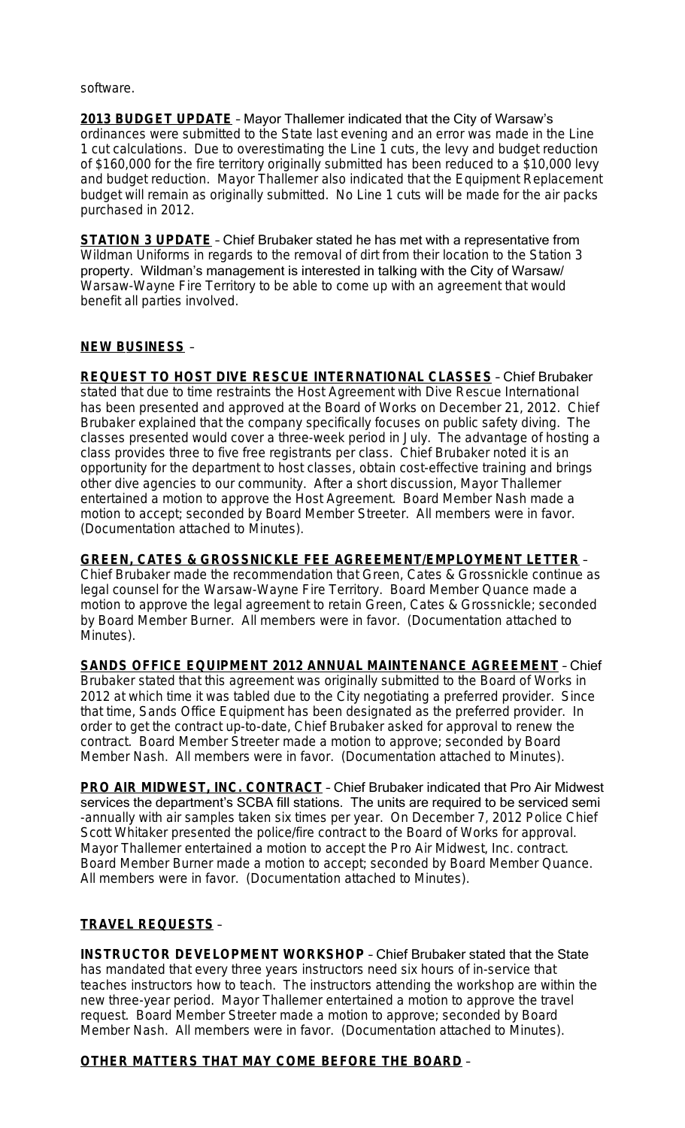software.

**2013 BUDGET UPDATE** – Mayor Thallemer indicated that the City of Warsaw's ordinances were submitted to the State last evening and an error was made in the Line 1 cut calculations. Due to overestimating the Line 1 cuts, the levy and budget reduction of \$160,000 for the fire territory originally submitted has been reduced to a \$10,000 levy and budget reduction. Mayor Thallemer also indicated that the Equipment Replacement budget will remain as originally submitted. No Line 1 cuts will be made for the air packs purchased in 2012.

**STATION 3 UPDATE** – Chief Brubaker stated he has met with a representative from Wildman Uniforms in regards to the removal of dirt from their location to the Station 3 property. Wildman's management is interested in talking with the City of Warsaw/ Warsaw-Wayne Fire Territory to be able to come up with an agreement that would benefit all parties involved.

## **NEW BUSINESS** –

**REQUEST TO HOST DIVE RESCUE INTERNATIONAL CLASSES** – Chief Brubaker stated that due to time restraints the Host Agreement with Dive Rescue International has been presented and approved at the Board of Works on December 21, 2012. Chief Brubaker explained that the company specifically focuses on public safety diving. The classes presented would cover a three-week period in July. The advantage of hosting a class provides three to five free registrants per class. Chief Brubaker noted it is an opportunity for the department to host classes, obtain cost-effective training and brings other dive agencies to our community. After a short discussion, Mayor Thallemer entertained a motion to approve the Host Agreement. Board Member Nash made a motion to accept; seconded by Board Member Streeter. All members were in favor. (Documentation attached to Minutes).

**GREEN, CATES & GROSSNICKLE FEE AGREEMENT/EMPLOYMENT LETTER** – Chief Brubaker made the recommendation that Green, Cates & Grossnickle continue as legal counsel for the Warsaw-Wayne Fire Territory. Board Member Quance made a motion to approve the legal agreement to retain Green, Cates & Grossnickle; seconded by Board Member Burner. All members were in favor. (Documentation attached to Minutes).

**SANDS OFFICE EQUIPMENT 2012 ANNUAL MAINTENANCE AGREEMENT** – Chief Brubaker stated that this agreement was originally submitted to the Board of Works in 2012 at which time it was tabled due to the City negotiating a preferred provider. Since that time, Sands Office Equipment has been designated as the preferred provider. In order to get the contract up-to-date, Chief Brubaker asked for approval to renew the contract. Board Member Streeter made a motion to approve; seconded by Board Member Nash. All members were in favor. (Documentation attached to Minutes).

**PRO AIR MIDWEST, INC. CONTRACT** – Chief Brubaker indicated that Pro Air Midwest services the department's SCBA fill stations. The units are required to be serviced semi -annually with air samples taken six times per year. On December 7, 2012 Police Chief Scott Whitaker presented the police/fire contract to the Board of Works for approval. Mayor Thallemer entertained a motion to accept the Pro Air Midwest, Inc. contract. Board Member Burner made a motion to accept; seconded by Board Member Quance. All members were in favor. (Documentation attached to Minutes).

## **TRAVEL REQUESTS** –

**INSTRUCTOR DEVELOPMENT WORKSHOP** – Chief Brubaker stated that the State has mandated that every three years instructors need six hours of in-service that teaches instructors how to teach. The instructors attending the workshop are within the new three-year period. Mayor Thallemer entertained a motion to approve the travel request. Board Member Streeter made a motion to approve; seconded by Board Member Nash. All members were in favor. (Documentation attached to Minutes).

## **OTHER MATTERS THAT MAY COME BEFORE THE BOARD** –